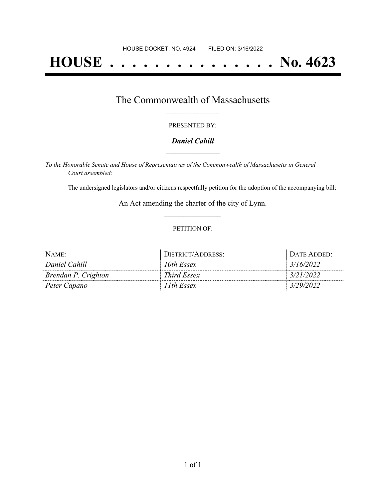# **HOUSE . . . . . . . . . . . . . . . No. 4623**

### The Commonwealth of Massachusetts **\_\_\_\_\_\_\_\_\_\_\_\_\_\_\_\_\_**

#### PRESENTED BY:

#### *Daniel Cahill* **\_\_\_\_\_\_\_\_\_\_\_\_\_\_\_\_\_**

*To the Honorable Senate and House of Representatives of the Commonwealth of Massachusetts in General Court assembled:*

The undersigned legislators and/or citizens respectfully petition for the adoption of the accompanying bill:

An Act amending the charter of the city of Lynn. **\_\_\_\_\_\_\_\_\_\_\_\_\_\_\_**

#### PETITION OF:

| NAME:               | DISTRICT/ADDRESS: | DATE ADDED: |
|---------------------|-------------------|-------------|
| Daniel Cahill       | 10th Essex        | 3/16/2022   |
| Brendan P. Crighton | Third Essex       | 3/21/2022   |
| Peter Capano        | 11th Essex        | 3/29/2022   |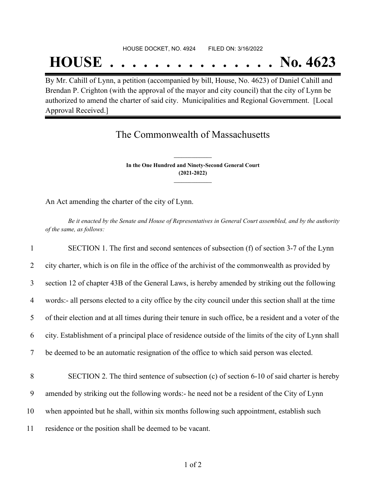#### HOUSE DOCKET, NO. 4924 FILED ON: 3/16/2022

## **HOUSE . . . . . . . . . . . . . . . No. 4623**

By Mr. Cahill of Lynn, a petition (accompanied by bill, House, No. 4623) of Daniel Cahill and Brendan P. Crighton (with the approval of the mayor and city council) that the city of Lynn be authorized to amend the charter of said city. Municipalities and Regional Government. [Local Approval Received.]

## The Commonwealth of Massachusetts

**In the One Hundred and Ninety-Second General Court (2021-2022) \_\_\_\_\_\_\_\_\_\_\_\_\_\_\_**

**\_\_\_\_\_\_\_\_\_\_\_\_\_\_\_**

An Act amending the charter of the city of Lynn.

Be it enacted by the Senate and House of Representatives in General Court assembled, and by the authority *of the same, as follows:*

 SECTION 1. The first and second sentences of subsection (f) of section 3-7 of the Lynn city charter, which is on file in the office of the archivist of the commonwealth as provided by section 12 of chapter 43B of the General Laws, is hereby amended by striking out the following words:- all persons elected to a city office by the city council under this section shall at the time of their election and at all times during their tenure in such office, be a resident and a voter of the city. Establishment of a principal place of residence outside of the limits of the city of Lynn shall be deemed to be an automatic resignation of the office to which said person was elected. SECTION 2. The third sentence of subsection (c) of section 6-10 of said charter is hereby amended by striking out the following words:- he need not be a resident of the City of Lynn when appointed but he shall, within six months following such appointment, establish such residence or the position shall be deemed to be vacant.